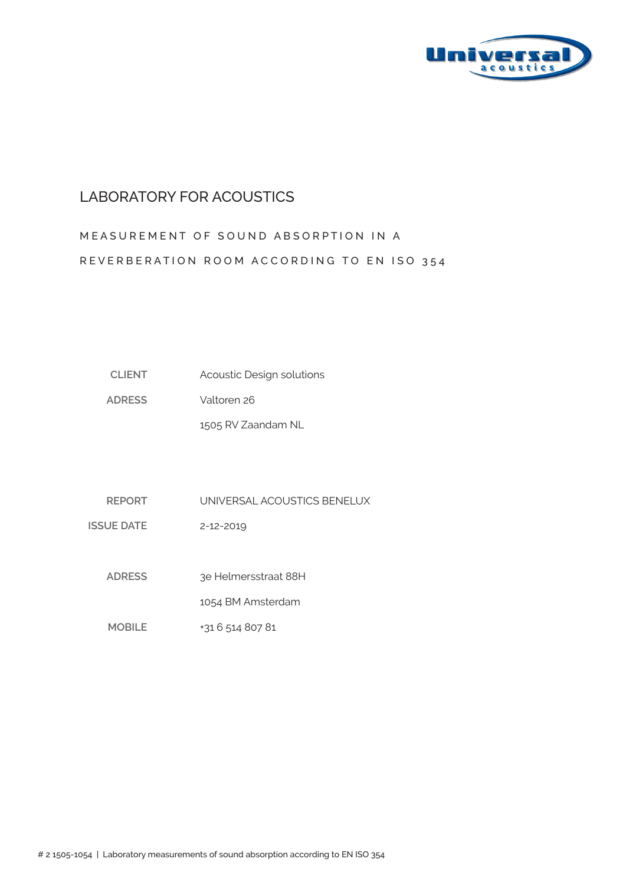

#### LABORATORY FOR ACOUSTICS

# MEASUREMENT OF SOUND ABSORPTION IN A REVERBERATION ROOM ACCORDING TO EN ISO 354

| <b>CLIENT</b> | Acoustic Design solutions |
|---------------|---------------------------|
|---------------|---------------------------|

**ADRESS** Valtoren 26

1505 RV Zaandam NL

**REPORT** UNIVERSAL ACOUSTICS BENELUX

**ISSUE DATE** 2-12-2019

> **ADRESS**  3e Helmersstraat 88H

> > 1054 BM Amsterdam

**MOBILE** +31 6 514 807 81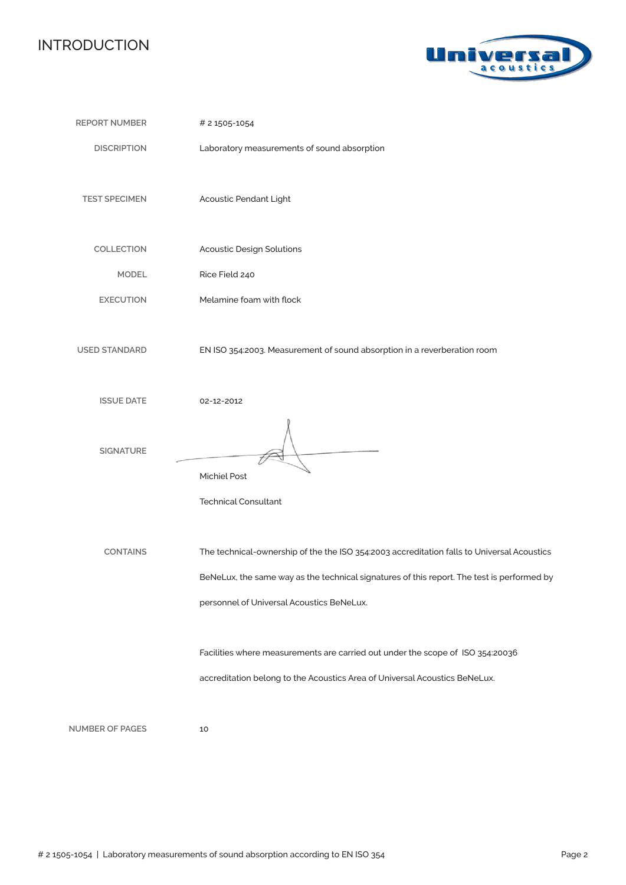## INTRODUCTION



| <b>REPORT NUMBER</b>   | # 2 1505-1054                                                                                                                                                                                                                         |
|------------------------|---------------------------------------------------------------------------------------------------------------------------------------------------------------------------------------------------------------------------------------|
| <b>DISCRIPTION</b>     | Laboratory measurements of sound absorption                                                                                                                                                                                           |
| <b>TEST SPECIMEN</b>   | Acoustic Pendant Light                                                                                                                                                                                                                |
| COLLECTION             | <b>Acoustic Design Solutions</b>                                                                                                                                                                                                      |
| <b>MODEL</b>           | Rice Field 240                                                                                                                                                                                                                        |
| <b>EXECUTION</b>       | Melamine foam with flock                                                                                                                                                                                                              |
| <b>USED STANDARD</b>   | EN ISO 354:2003. Measurement of sound absorption in a reverberation room                                                                                                                                                              |
| <b>ISSUE DATE</b>      | 02-12-2012                                                                                                                                                                                                                            |
| <b>SIGNATURE</b>       | <b>Michiel Post</b><br><b>Technical Consultant</b>                                                                                                                                                                                    |
| <b>CONTAINS</b>        | The technical-ownership of the the ISO 354:2003 accreditation falls to Universal Acoustics<br>BeNeLux, the same way as the technical signatures of this report. The test is performed by<br>personnel of Universal Acoustics BeNeLux. |
|                        | Facilities where measurements are carried out under the scope of ISO 354:20036<br>accreditation belong to the Acoustics Area of Universal Acoustics BeNeLux.                                                                          |
| <b>NUMBER OF PAGES</b> | 10                                                                                                                                                                                                                                    |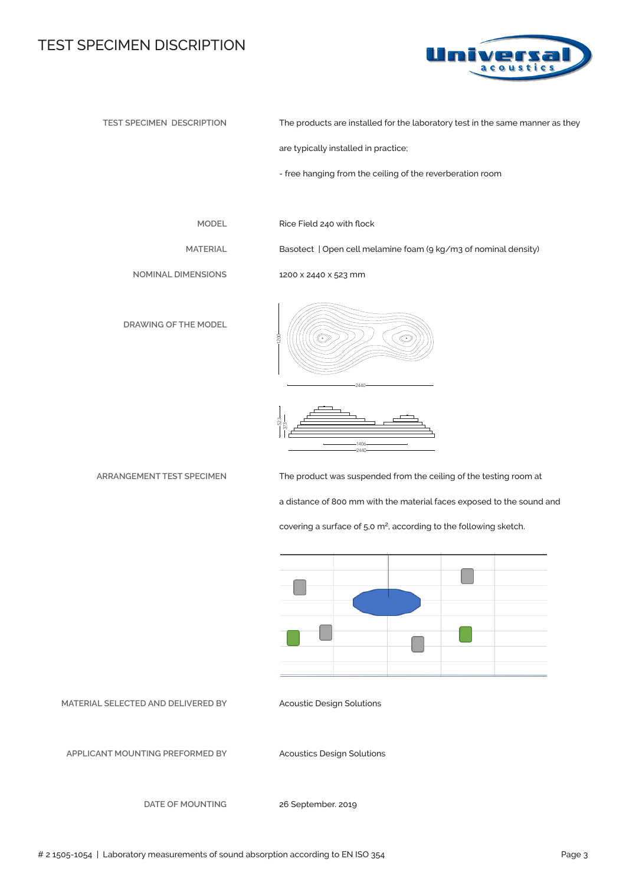#### TEST SPECIMEN DISCRIPTION



**TEST SPECIMEN DESCRIPTION**

The products are installed for the laboratory test in the same manner as they

are typically installed in practice;

- free hanging from the ceiling of the reverberation room

**MODEL**

**MATERIAL**

Rice Field 240 with flock

1200 x 2440 x 523 mm

Basotect | Open cell melamine foam (9 kg/m3 of nominal density)

**NOMINAL DIMENSIONS**

**DRAWING OF THE MODEL**

**ARRANGEMENT TEST SPECIMEN** 





The product was suspended from the ceiling of the testing room at a distance of 800 mm with the material faces exposed to the sound and covering a surface of  $5.0 \text{ m}^2$ , according to the following sketch.



**MATERIAL SELECTED AND DELIVERED BY**

Acoustic Design Solutions

**APPLICANT MOUNTING PREFORMED BY** 

Acoustics Design Solutions

**DATE OF MOUNTING**

26 September. 2019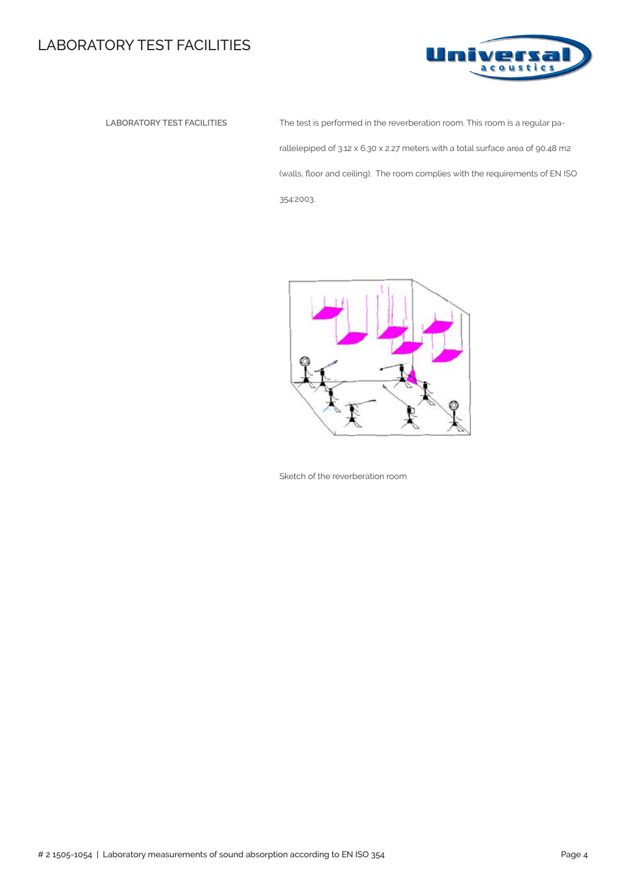## LABORATORY TEST FACILITIES



 **LABORATORY TEST FACILITIES** The test is performed in the reverberation room. This room is a regular parallelepiped of 3.12 x 6.30 x 2.27 meters with a total surface area of 90.48 m2 (walls, floor and ceiling). The room complies with the requirements of EN ISO 354:2003.



Sketch of the reverberation room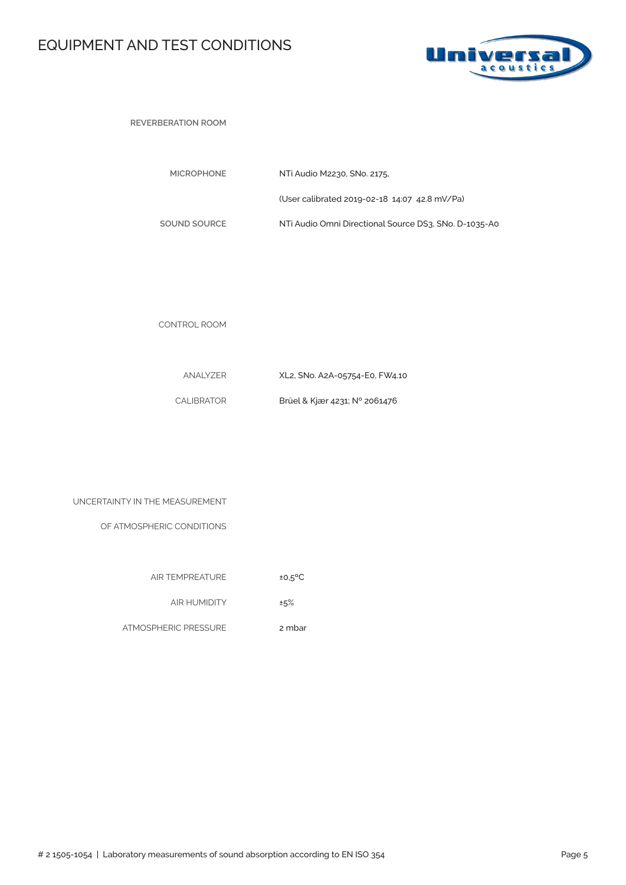# EQUIPMENT AND TEST CONDITIONS



**REVERBERATION ROOM** 

| <b>MICROPHONE</b> | NTi Audio M2230, SNo. 2175,                           |
|-------------------|-------------------------------------------------------|
|                   | (User calibrated 2019-02-18 14:07 42.8 mV/Pa)         |
| SOUND SOURCE      | NTi Audio Omni Directional Source DS3, SNo, D-1035-A0 |

CONTROL ROOM

| ANALYZER   | XL2, SNo. A2A-05754-E0, FW4.10 |
|------------|--------------------------------|
| CALIBRATOR | Brüel & Kjær 4231; N° 2061476  |

| UNCERTAINTY IN THE MEASUREMENT |  |  |
|--------------------------------|--|--|
|                                |  |  |

OF ATMOSPHERIC CONDITIONS

| <b>AIR TEMPREATURE</b> | $±0.5$ <sup>o</sup> C |
|------------------------|-----------------------|

AIR HUMIDITY ±5%

ATMOSPHERIC PRESSURE 2 mbar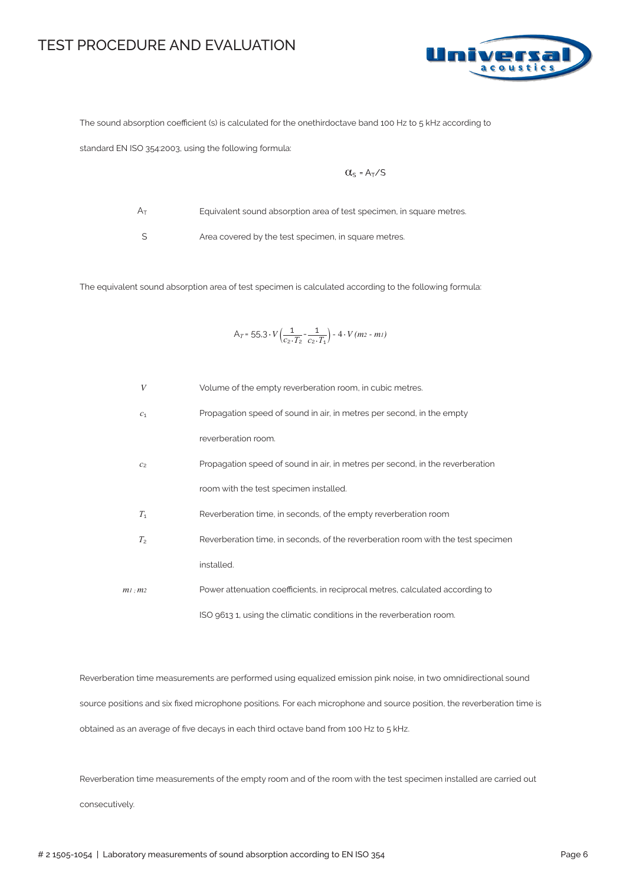#### TEST PROCEDURE AND EVALUATION



The sound absorption coefficient (s) is calculated for the onethirdoctave band 100 Hz to 5 kHz according to

standard EN ISO 354:2003, using the following formula:

$$
\alpha_{s} = A_{T}/s
$$

 $A_T$ 

Equivalent sound absorption area of test specimen, in square metres.

S

Area covered by the test specimen, in square metres.

The equivalent sound absorption area of test specimen is calculated according to the following formula:

$$
A_T = 55.3 \cdot V \left( \frac{1}{c_2 \cdot T_2} - \frac{1}{c_2 \cdot T_1} \right) - 4 \cdot V (m_2 - m_1)
$$

| $\boldsymbol{V}$ | Volume of the empty reverberation room, in cubic metres.                         |
|------------------|----------------------------------------------------------------------------------|
| c <sub>1</sub>   | Propagation speed of sound in air, in metres per second, in the empty            |
|                  | reverberation room.                                                              |
| C <sub>2</sub>   | Propagation speed of sound in air, in metres per second, in the reverberation    |
|                  | room with the test specimen installed.                                           |
| $T_1$            | Reverberation time, in seconds, of the empty reverberation room                  |
| T <sub>2</sub>   | Reverberation time, in seconds, of the reverberation room with the test specimen |
|                  | installed.                                                                       |
| $m1$ : $m2$      | Power attenuation coefficients, in reciprocal metres, calculated according to    |
|                  | ISO 9613 1, using the climatic conditions in the reverberation room.             |

Reverberation time measurements are performed using equalized emission pink noise, in two omnidirectional sound source positions and six fixed microphone positions. For each microphone and source position, the reverberation time is obtained as an average of five decays in each third octave band from 100 Hz to 5 kHz.

Reverberation time measurements of the empty room and of the room with the test specimen installed are carried out consecutively.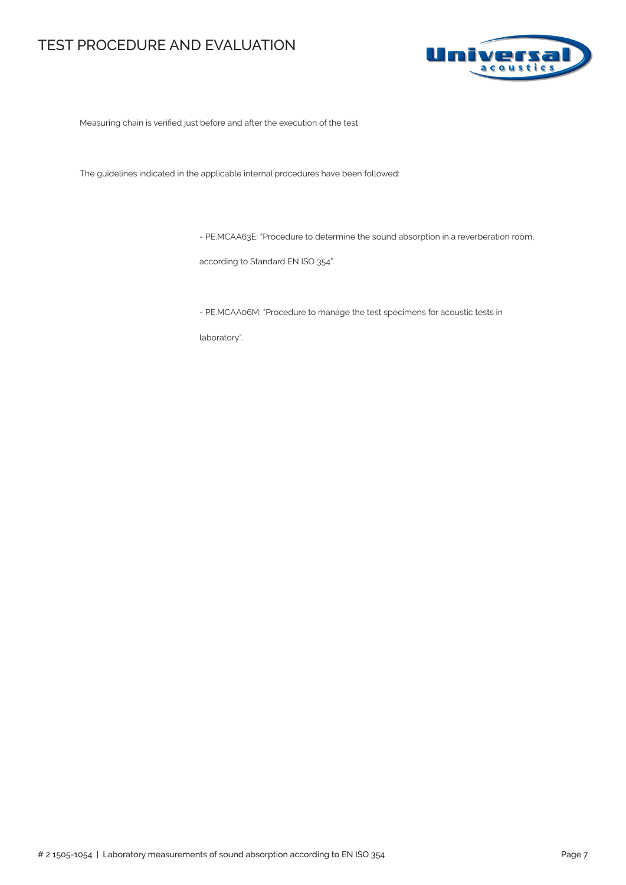### TEST PROCEDURE AND EVALUATION



Measuring chain is verified just before and after the execution of the test.

The guidelines indicated in the applicable internal procedures have been followed:

- PE.MCAA63E: "Procedure to determine the sound absorption in a reverberation room,

according to Standard EN ISO 354".

- PE.MCAA06M: "Procedure to manage the test specimens for acoustic tests in

laboratory".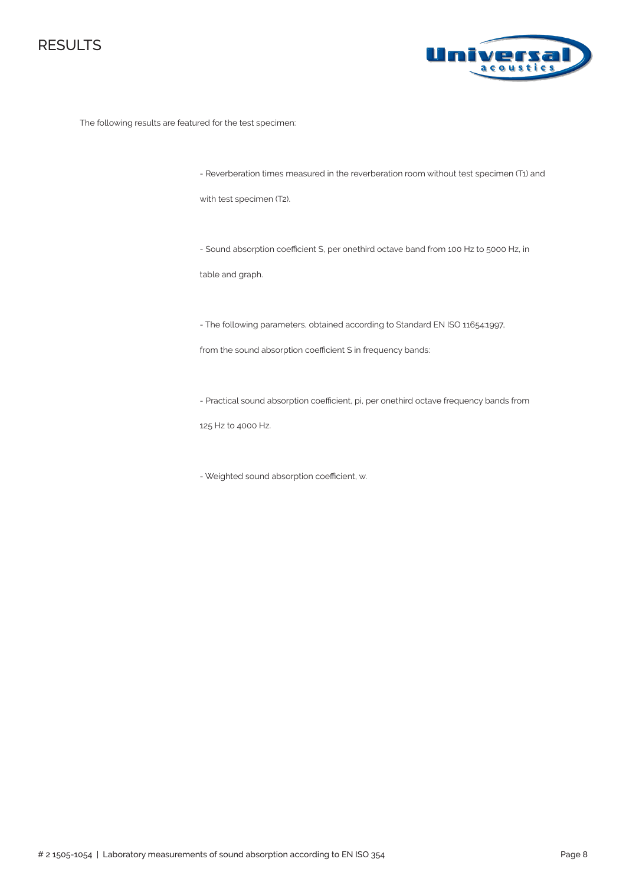



The following results are featured for the test specimen:

- Reverberation times measured in the reverberation room without test specimen (T1) and

with test specimen (T2).

- Sound absorption coefficient S, per onethird octave band from 100 Hz to 5000 Hz, in

table and graph.

- The following parameters, obtained according to Standard EN ISO 11654:1997,

from the sound absorption coefficient S in frequency bands:

- Practical sound absorption coefficient, pi, per onethird octave frequency bands from

125 Hz to 4000 Hz.

- Weighted sound absorption coefficient, αw.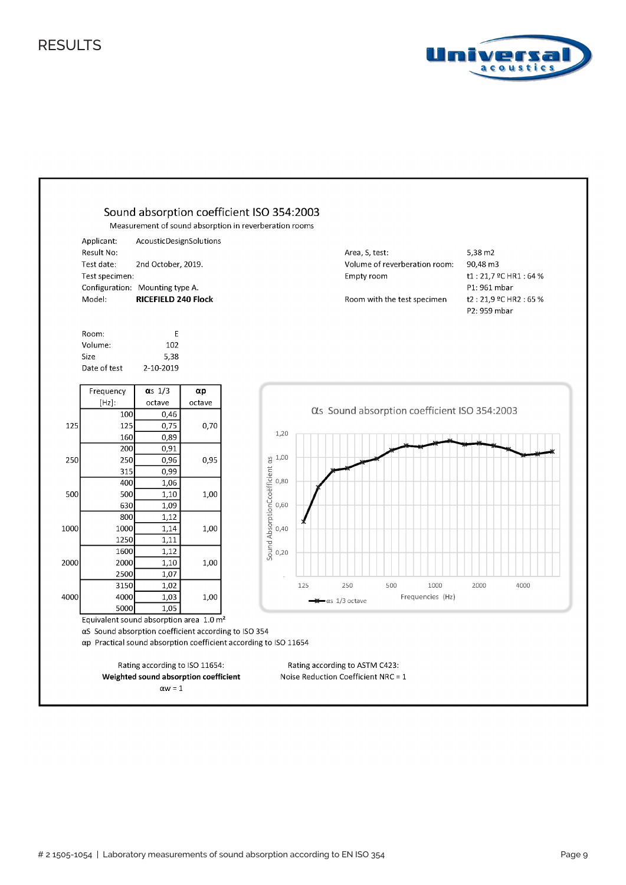